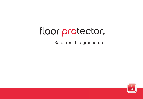# floor protector.

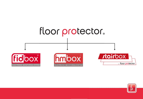

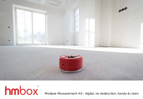

hmbox

Moisture Measurement 4.0 – digital, no destruction, handy & clean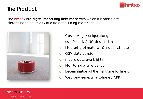

## The Product

The *hmbox* **is a digital measuring instrument** with which it is possible to determine the humidity of different building materials.



- o Cost savings / unique fixing
- o user-friendly & NO destruction
- o Measuring of material- & indoor-climate
- o GSM data transfer
- o mobile data availability
- o Monitoring a time period
- o Determination of the right time for laying
- o Web browser & Smartphone / APP

## floor protector.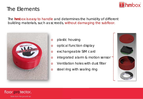

# The Elements

The *hmbox* is easy to handle and determines the humidity of different building materials, such as screeds, without damaging the subfloor.



- o plastic housing
- o optical function display
- o exchangeable SIM card
- o integrated alarm & motion sensor
- o Ventilation holes with dust filter
- o steel ring with sealing ring



## floor protector.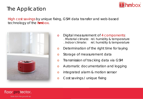

# The Application

High cost savings by unique fixing, GSM data transfer and web-based technology of the *hmbox*.



- o Digital measurement of 4 components: . Material climate: rel. humidity & temperature . Indoor climate: rel. humidity & temperature
- o Determination of the right time for laying
- o Storage of measurement data
- o Transmission of tracking data via GSM
- o Automatic documentation and logging
- o integrated alarm & motion sensor
- o Cost savings / unique fixing

## floor protector.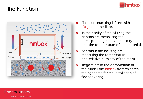## The Function





- o The aluminum ring is fixed with *fix glue* to the floor.
- o In the cavity of the alu-ring the sensors are measuring the corresponding relative humidity and the temperature of the material.
- o Sensors in the housing are measuring the temperature and relative humidity of the room.
- o Regardless of the composition of the subsoil the *hmbox* determinates the right time for the installation of floor covering.

## floor protector.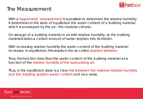

# The Measurement

With a hygrometric measurement it is possible to determine the relative humidity. It determines in the state of equilibrium the water content of a building material which is enveloped by the air - the material climate.

On storage of a building material in air with relative humidity, so the building materials takes a certain amount of water sorption into its interior.

With increasing relative humidity the water content of the building material increases. In equilibrium, this results in the so-called sorption isotherm.

Thus, this function describes the water content of the building material as a function of the relative humidity of the surrounding air.

Thus, in the equilibrium state is a clear link between the external relative humidity and the resulting sorption water content and vice versa.

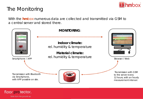

# The Monitoring

With the *hmbox* numerous data are collected and transmitted via GSM to a central server and stored there.



### floor protector.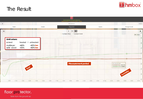

## The Result



## floor protector.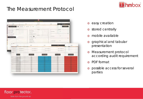# The Measurement Protocol



|                                                             | Mustermann                                                                             |                        |                        | 900023              |
|-------------------------------------------------------------|----------------------------------------------------------------------------------------|------------------------|------------------------|---------------------|
| Skalen<br>Details                                           | Diagramm                                                                               | Tabelle                | Messpratokoll          |                     |
| Messprotokoll erstellen<br>Ø<br>Messprotokoll               | () Diagramme<br>$\left(\begin{smallmatrix} 1 \\ 1 \end{smallmatrix}\right)$<br>Tabelle |                        | Zurücksetzen           |                     |
| Ersteller Into                                              | Chyckt Info                                                                            |                        | Grenzwerte             |                     |
| Name/Firma: athedBM                                         | Adresse: Waldgasse 2                                                                   | min. Temperatur:       | 16℃                    |                     |
| Adresse: Reingrub 22                                        | PLZ/Ort 2700                                                                           |                        |                        |                     |
| PLZ/Ort: 2851 Krumbach                                      | Raumbezeichung: Mustermann                                                             | ž                      |                        | ٨                   |
| Datum: 16.12.2015                                           | Rzum Info                                                                              |                        |                        |                     |
|                                                             | Zementestrich                                                                          | max. Temperatur:       | 27 ℃                   |                     |
| Firmenlogo auswählen                                        | Kalziumsulfatestrich<br>$\mathbf{r}$                                                   | a.                     |                        | ٨                   |
|                                                             | Sonstiger Estrich:                                                                     |                        |                        |                     |
|                                                             | Belagsbeizeichnung:                                                                    | min. Luftfeuchtigkeit: | 0%                     |                     |
|                                                             | Bodenheizung                                                                           |                        |                        |                     |
| 0 900015                                                    |                                                                                        | $\bullet$ $\circ$      |                        | e                   |
| Scales                                                      | Details                                                                                | Chart                  | Table                  | Report              |
|                                                             |                                                                                        |                        |                        |                     |
| Tabelleneinstellungen<br>Min. Temperatur 17<br>Bodengrenzen | : Max. Temperatur 26                                                                   | : Min. Feuchtigkeit 45 | Max. Feuchtigkeit 60   |                     |
| Min. Temperatur 17.<br>Estrichgrenzen                       | : Max. Temperatur 26                                                                   | : Min. Feuchtigkeit 45 | : Max. Feuchtigkeit 60 | u.                  |
| Messdaten                                                   |                                                                                        |                        |                        |                     |
| Datum/Zeit                                                  | Bodentemperatur                                                                        | Bodenfeuchtigkeit      | Estrichtemperatur      | Estrichfeuchtigkeit |
|                                                             |                                                                                        |                        |                        |                     |
| 27.9.2015 11:33:04<br>27.9.2015 12:33:04                    | 23.01<br>22.99                                                                         | 40.25<br>40.53         | 23,03<br>23.03         | 72.00               |
| 27.9.2015 13:33:04                                          | 22.99                                                                                  | 40.63                  | 23.01                  | 72.98               |
| 27.9.2015 14:33:04<br>27.9.2015 15:33:04                    | 22.99<br>22.99                                                                         | 40.56                  | 23.01<br>23.01         | 73.06<br>sш         |
| 27.9.2015 16:33:04                                          | 22.99                                                                                  | 40.63                  | 23.01                  |                     |
| 27.9.2015 17:33:04                                          | 22.99                                                                                  | 40.26<br>40.26         | 23.01                  | 72 18               |
| 27.9.2015 18:33:04<br>27.9.2015 19:33.04                    | 22.99<br>22.99                                                                         | 4031                   | 23.01<br>23.03         |                     |
| 27.9.2015 20:33:04                                          | 23.01                                                                                  | 40.01                  | 23.03                  | 双座                  |
| 27.9 2015 21:33:04                                          | 23.01                                                                                  | 40.13                  | 23.03                  |                     |
| 27.9.2015 22:33:04<br>27.9.2015 23:33:04                    | 23.01<br>23.01                                                                         | 20.53<br>39.87         | 23.03<br>23.03         | $-200$<br>72.89     |
| 28.9.2015 00:33:04                                          | 23.01                                                                                  | 39.47                  | 23.03                  | 言作                  |
| 28.9.2015 01:33:04                                          | 23.01                                                                                  | 39.61                  | 23.03                  | 72.89               |
| 28.9.2015 02:33:04                                          | 23.01                                                                                  | 39.74                  | 23.03                  | 72.83               |
| 28.9.2015 03:33:04                                          | 23.01                                                                                  | 60.01                  | 23.03                  |                     |
| 28.9.2015 04:33:04<br>28.9.2015 05:33:04                    | 23.03<br>23.01                                                                         | 39.97<br>39.61         | 23.06<br>23.06         | 72.85               |
| 28.9.2015 06:33:04                                          | 23.01                                                                                  | 39.74                  | 23.06                  |                     |
|                                                             | 23.03                                                                                  |                        | 23.06                  |                     |

- o easy creation
- o stored centrally
- o mobile available
- o graphical and tabular presentation
- o Measurement protocol according audit requirement
- o PDF format
- o possible access for several parties

### floor protector.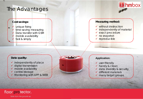## The Advantages

#### **Cost savings:**

unique fixing time-saving measuring Data transfer with GSM mobile availability fast & simply

#### **Data quality:**

- $\checkmark$  independently of place
- $\checkmark$  digital transmission
- $\checkmark$  mobile availability
- $\checkmark$  central storage
- $\checkmark$  Monitoring with APP & WEB





#### **Measuring method:**

- $\checkmark$  without destruction
- $\checkmark$  independently of material
- exact procedure
- $\sqrt{\phantom{a}}$  no snapshot
- $\checkmark$  reproducible

#### **Application:**

- user-friendly
- handy & clean
- $\checkmark$  data diversity & security
- $\checkmark$  different materials
- $\checkmark$  many target groups

floor protector.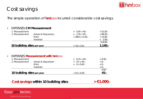

# Cost savings

The simple operation of *hmbox* incurred considerable cost savings.

#### • EXPENSES *CM Measurement*

| 10 building sites per year |                      | $= 10 \times 114$ .            | $1.140 -$   |
|----------------------------|----------------------|--------------------------------|-------------|
|                            |                      |                                | 114,00-     |
|                            | material             |                                | $= 2,00.$   |
|                            | E/km                 | $= 30 \text{km} \times 0.42$ . | $= 13,00.$  |
| 2. Measurement             | Arrival & Departure: | $= 1.5h \times 45.$            | $= 66,50.$  |
| 1. Measurement             |                      | $= 0.5h \times 45.$            | $= 22.50 -$ |

#### • EXPENSES *Measurement with hmbox*

| 10 building sites per year |                       | $= 10 \times 4.50$ . | 45.-       |
|----------------------------|-----------------------|----------------------|------------|
|                            |                       |                      | $4.50 -$   |
|                            | material              |                      | $= 0.5$    |
|                            | €/km                  | $= 0 \times 0.42$ .  | $= 0.5$    |
| 2. Measurement             | Arrival & Departure : | $= 0 h x 45.$        | $= 0$ .    |
| 1. Measurement             |                       | $= 0.1h \times 45.$  | $= 4.50 -$ |

#### **Cost savings within 10 building sites > €1.000.-**



### floor protector.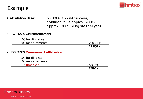

## Example

| <b>Calculation Base:</b>                            | 600.000.- annual turnover,<br>contract value approx. 6.000.-,<br>approx. 100 building sites per year |
|-----------------------------------------------------|------------------------------------------------------------------------------------------------------|
| <b>EXPENSES CM Measurement</b><br>$\bullet$         |                                                                                                      |
| 100 building sites<br>200 measurements              | $= 200 \times 114$ .<br>22.800 .-                                                                    |
| <b>EXPENSES Measurement with hmbox</b><br>$\bullet$ |                                                                                                      |
| 100 building sites<br>100 measurements<br>5 hmboxes | $= 5 \times 599.$<br>$2.995. -$                                                                      |

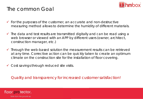

# The common Goal

- $\checkmark$  for the purposes of the customer, an accurate and non-destructive measuring method allows to determine the humidity of different materials.
- $\checkmark$  The data and test results are transmitted digitally and can be read using a web browser or viewed with an APP by different users (owner, architect, construction manager, etc.)
- $\checkmark$  Through the web-based solution the measurement results can be retrieved at any time. Corrective action can be quickly taken to create an optimum climate on the construction site for the installation of floor covering.
- Cost savings through reduced site visits.

Quality and transparency for increased customer satisfaction!